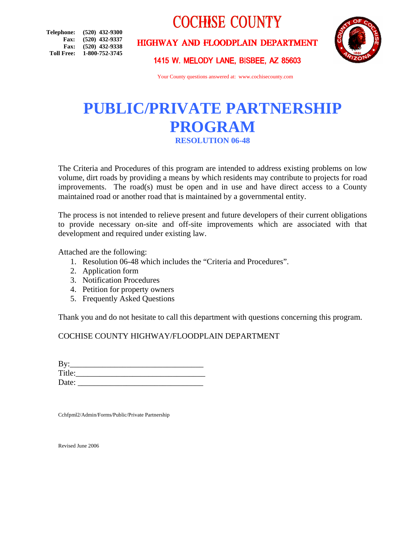# **COCHISE COUNTY**

**Telephone: (520) 432-9300 Fax: (520) 432-9337 Fax: (520) 432-9338 Toll Free: 1-800-752-3745**

# HIGHWAY AND FLOODPLAIN DEPARTMENT



1415 W. MELODY LANE, BISBEE, AZ 85603

Your County questions answered at: www.cochisecounty.com

# **PUBLIC/PRIVATE PARTNERSHIP PROGRAM RESOLUTION 06-48**

The Criteria and Procedures of this program are intended to address existing problems on low volume, dirt roads by providing a means by which residents may contribute to projects for road improvements. The road(s) must be open and in use and have direct access to a County maintained road or another road that is maintained by a governmental entity.

The process is not intended to relieve present and future developers of their current obligations to provide necessary on-site and off-site improvements which are associated with that development and required under existing law.

Attached are the following:

- 1. Resolution 06-48 which includes the "Criteria and Procedures".
- 2. Application form
- 3. Notification Procedures
- 4. Petition for property owners
- 5. Frequently Asked Questions

Thank you and do not hesitate to call this department with questions concerning this program.

COCHISE COUNTY HIGHWAY/FLOODPLAIN DEPARTMENT

| By:    |  |  |
|--------|--|--|
| Title: |  |  |
| Date:  |  |  |

Cchfpml2/Admin/Forms/Public/Private Partnership

Revised June 2006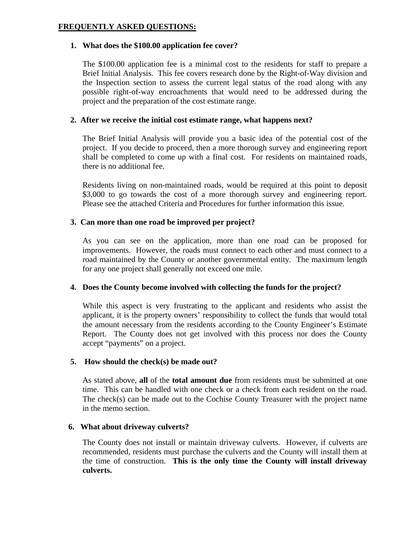## **FREQUENTLY ASKED QUESTIONS:**

#### **1. What does the \$100.00 application fee cover?**

The \$100.00 application fee is a minimal cost to the residents for staff to prepare a Brief Initial Analysis. This fee covers research done by the Right-of-Way division and the Inspection section to assess the current legal status of the road along with any possible right-of-way encroachments that would need to be addressed during the project and the preparation of the cost estimate range.

## **2. After we receive the initial cost estimate range, what happens next?**

The Brief Initial Analysis will provide you a basic idea of the potential cost of the project. If you decide to proceed, then a more thorough survey and engineering report shall be completed to come up with a final cost. For residents on maintained roads, there is no additional fee.

Residents living on non-maintained roads, would be required at this point to deposit \$3,000 to go towards the cost of a more thorough survey and engineering report. Please see the attached Criteria and Procedures for further information this issue.

## **3. Can more than one road be improved per project?**

As you can see on the application, more than one road can be proposed for improvements. However, the roads must connect to each other and must connect to a road maintained by the County or another governmental entity. The maximum length for any one project shall generally not exceed one mile.

#### **4. Does the County become involved with collecting the funds for the project?**

While this aspect is very frustrating to the applicant and residents who assist the applicant, it is the property owners' responsibility to collect the funds that would total the amount necessary from the residents according to the County Engineer's Estimate Report. The County does not get involved with this process nor does the County accept "payments" on a project.

#### **5. How should the check(s) be made out?**

As stated above, **all** of the **total amount due** from residents must be submitted at one time. This can be handled with one check or a check from each resident on the road. The check(s) can be made out to the Cochise County Treasurer with the project name in the memo section.

#### **6. What about driveway culverts?**

The County does not install or maintain driveway culverts. However, if culverts are recommended, residents must purchase the culverts and the County will install them at the time of construction. **This is the only time the County will install driveway culverts.**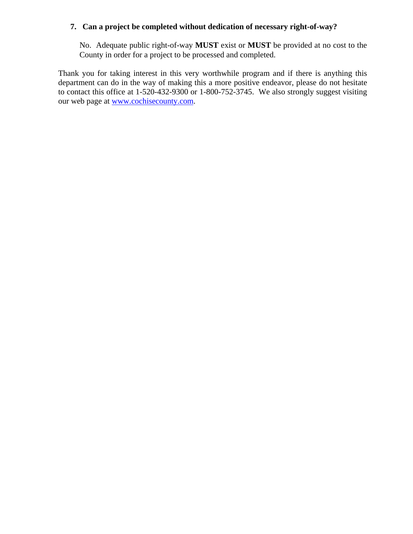#### **7. Can a project be completed without dedication of necessary right-of-way?**

No. Adequate public right-of-way **MUST** exist or **MUST** be provided at no cost to the County in order for a project to be processed and completed.

Thank you for taking interest in this very worthwhile program and if there is anything this department can do in the way of making this a more positive endeavor, please do not hesitate to contact this office at 1-520-432-9300 or 1-800-752-3745. We also strongly suggest visiting our web page at [www.cochisecounty.com.](http://www.cochisecounty.com/)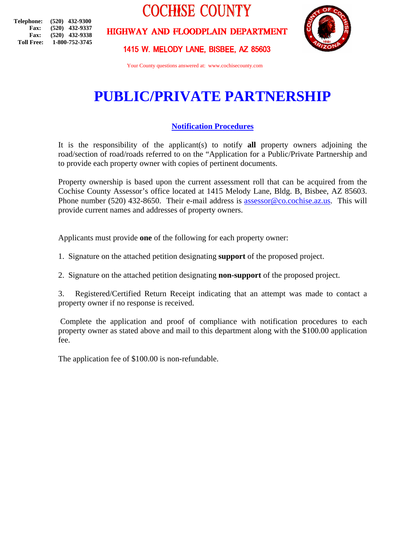**Telephone: (520) 432-9300 Fax: (520) 432-9337 Fax: (520) 432-9338 Toll Free: 1-800-752-3745** **COCHISE COUNTY** 

HIGHWAY AND FLOODPLAIN DEPARTMENT



1415 W. MELODY LANE, BISBEE, AZ 85603

Your County questions answered at: www.cochisecounty.com

# **PUBLIC/PRIVATE PARTNERSHIP**

## **Notification Procedures**

It is the responsibility of the applicant(s) to notify **all** property owners adjoining the road/section of road/roads referred to on the "Application for a Public/Private Partnership and to provide each property owner with copies of pertinent documents.

Property ownership is based upon the current assessment roll that can be acquired from the Cochise County Assessor's office located at 1415 Melody Lane, Bldg. B, Bisbee, AZ 85603. Phone number (520) 432-8650. Their e-mail address is [assessor@co.cochise.az.us](mailto:assessor@co.cochise.az.us). This will provide current names and addresses of property owners.

Applicants must provide **one** of the following for each property owner:

1. Signature on the attached petition designating **support** of the proposed project.

2. Signature on the attached petition designating **non-support** of the proposed project.

3. Registered/Certified Return Receipt indicating that an attempt was made to contact a property owner if no response is received.

 Complete the application and proof of compliance with notification procedures to each property owner as stated above and mail to this department along with the \$100.00 application fee.

The application fee of \$100.00 is non-refundable.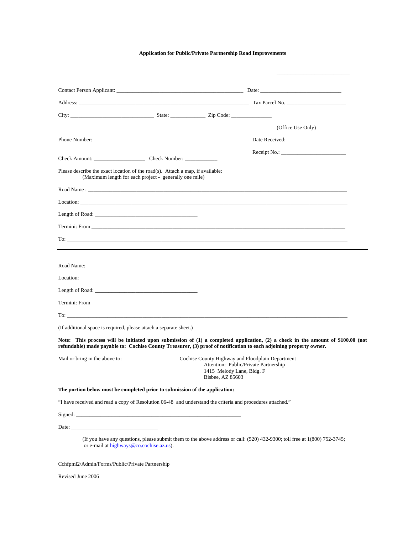#### **Application for Public/Private Partnership Road Improvements**

|                                                                                                                                                                                                                                                                                                                                                                                                                             |                                                        |                  | (Office Use Only)                                                                                                                                                                                                                                     |
|-----------------------------------------------------------------------------------------------------------------------------------------------------------------------------------------------------------------------------------------------------------------------------------------------------------------------------------------------------------------------------------------------------------------------------|--------------------------------------------------------|------------------|-------------------------------------------------------------------------------------------------------------------------------------------------------------------------------------------------------------------------------------------------------|
|                                                                                                                                                                                                                                                                                                                                                                                                                             |                                                        |                  |                                                                                                                                                                                                                                                       |
|                                                                                                                                                                                                                                                                                                                                                                                                                             |                                                        |                  | $\text{Receipt No.:}$                                                                                                                                                                                                                                 |
| Check Amount: Check Number:                                                                                                                                                                                                                                                                                                                                                                                                 |                                                        |                  |                                                                                                                                                                                                                                                       |
| Please describe the exact location of the road(s). Attach a map, if available:                                                                                                                                                                                                                                                                                                                                              | (Maximum length for each project - generally one mile) |                  |                                                                                                                                                                                                                                                       |
|                                                                                                                                                                                                                                                                                                                                                                                                                             |                                                        |                  |                                                                                                                                                                                                                                                       |
|                                                                                                                                                                                                                                                                                                                                                                                                                             |                                                        |                  |                                                                                                                                                                                                                                                       |
|                                                                                                                                                                                                                                                                                                                                                                                                                             |                                                        |                  |                                                                                                                                                                                                                                                       |
|                                                                                                                                                                                                                                                                                                                                                                                                                             |                                                        |                  |                                                                                                                                                                                                                                                       |
|                                                                                                                                                                                                                                                                                                                                                                                                                             |                                                        |                  |                                                                                                                                                                                                                                                       |
|                                                                                                                                                                                                                                                                                                                                                                                                                             |                                                        |                  |                                                                                                                                                                                                                                                       |
|                                                                                                                                                                                                                                                                                                                                                                                                                             |                                                        |                  |                                                                                                                                                                                                                                                       |
|                                                                                                                                                                                                                                                                                                                                                                                                                             |                                                        |                  |                                                                                                                                                                                                                                                       |
|                                                                                                                                                                                                                                                                                                                                                                                                                             |                                                        |                  |                                                                                                                                                                                                                                                       |
|                                                                                                                                                                                                                                                                                                                                                                                                                             |                                                        |                  |                                                                                                                                                                                                                                                       |
|                                                                                                                                                                                                                                                                                                                                                                                                                             |                                                        |                  | $To:$ $\qquad \qquad$                                                                                                                                                                                                                                 |
|                                                                                                                                                                                                                                                                                                                                                                                                                             |                                                        |                  |                                                                                                                                                                                                                                                       |
|                                                                                                                                                                                                                                                                                                                                                                                                                             |                                                        |                  |                                                                                                                                                                                                                                                       |
| (If additional space is required, please attach a separate sheet.)                                                                                                                                                                                                                                                                                                                                                          |                                                        |                  | Note: This process will be initiated upon submission of (1) a completed application, (2) a check in the amount of \$100.00 (not<br>refundable) made payable to: Cochise County Treasurer, (3) proof of notification to each adjoining property owner. |
| Mail or bring in the above to:                                                                                                                                                                                                                                                                                                                                                                                              |                                                        | Bisbee, AZ 85603 | Cochise County Highway and Floodplain Department<br>Attention: Public/Private Partnership<br>1415 Melody Lane, Bldg. F                                                                                                                                |
|                                                                                                                                                                                                                                                                                                                                                                                                                             |                                                        |                  |                                                                                                                                                                                                                                                       |
|                                                                                                                                                                                                                                                                                                                                                                                                                             |                                                        |                  |                                                                                                                                                                                                                                                       |
|                                                                                                                                                                                                                                                                                                                                                                                                                             |                                                        |                  |                                                                                                                                                                                                                                                       |
| The portion below must be completed prior to submission of the application:<br>"I have received and read a copy of Resolution 06-48 and understand the criteria and procedures attached."<br>Signed: Signed: All and the same of the same of the same of the same of the same of the same of the same of the same of the same of the same of the same of the same of the same of the same of the same of the same of the sa |                                                        |                  |                                                                                                                                                                                                                                                       |

Revised June 2006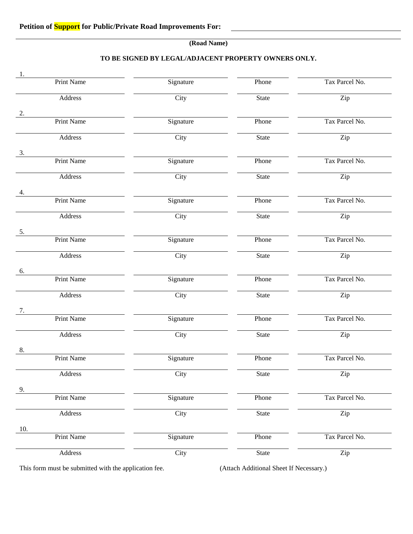#### **(Road Name)**

#### **TO BE SIGNED BY LEGAL/ADJACENT PROPERTY OWNERS ONLY.**

| 1.                |           |              |                |
|-------------------|-----------|--------------|----------------|
| <b>Print Name</b> | Signature | Phone        | Tax Parcel No. |
| Address           | City      | State        | Zip            |
| 2.                |           |              |                |
| <b>Print Name</b> | Signature | Phone        | Tax Parcel No. |
| Address           | City      | <b>State</b> | Zip            |
| 3.                |           |              |                |
| <b>Print Name</b> | Signature | Phone        | Tax Parcel No. |
| Address           | City      | State        | Zip            |
| 4.                |           |              |                |
| <b>Print Name</b> | Signature | Phone        | Tax Parcel No. |
| Address           | City      | State        | Zip            |
| 5.                |           |              |                |
| <b>Print Name</b> | Signature | Phone        | Tax Parcel No. |
| Address           | City      | State        | Zip            |
| 6.                |           |              |                |
| <b>Print Name</b> | Signature | Phone        | Tax Parcel No. |
| Address           | City      | State        | Zip            |
| 7.                |           |              |                |
| <b>Print Name</b> | Signature | Phone        | Tax Parcel No. |
| Address           | City      | State        | Zip            |
| 8.                |           |              |                |
| <b>Print Name</b> | Signature | Phone        | Tax Parcel No. |
| Address           | City      | <b>State</b> | Zip            |
| 9.                |           |              |                |
| <b>Print Name</b> | Signature | Phone        | Tax Parcel No. |
| Address           | City      | State        | Zip            |
| 10.               |           |              |                |
| Print Name        | Signature | Phone        | Tax Parcel No. |
| Address           | City      | State        | Zip            |

This form must be submitted with the application fee. (Attach Additional Sheet If Necessary.)